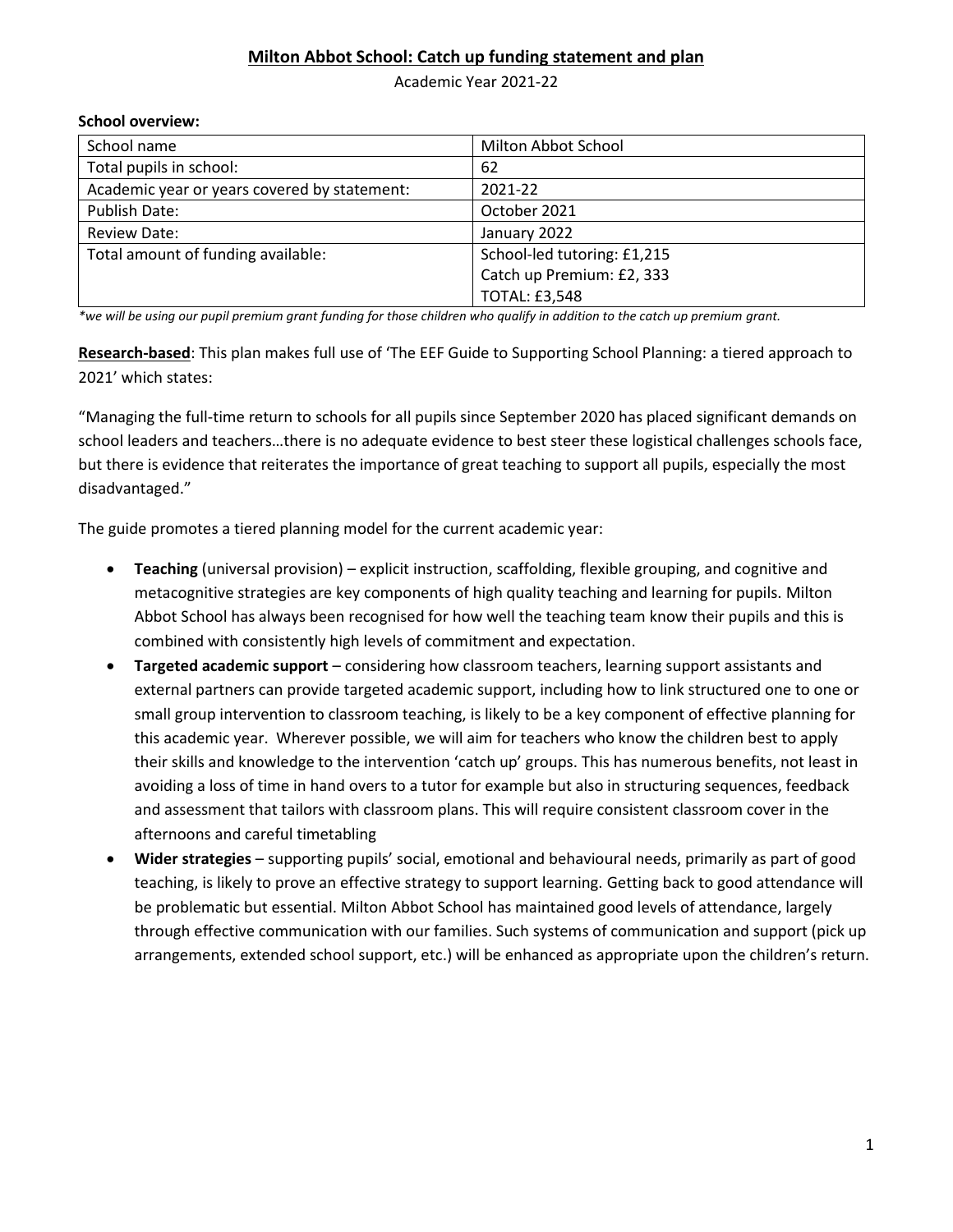### **Milton Abbot School: Catch up funding statement and plan**

Academic Year 2021-22

#### **School overview:**

| School name                                  | Milton Abbot School         |
|----------------------------------------------|-----------------------------|
| Total pupils in school:                      | 62                          |
| Academic year or years covered by statement: | 2021-22                     |
| Publish Date:                                | October 2021                |
| Review Date:                                 | January 2022                |
| Total amount of funding available:           | School-led tutoring: £1,215 |
|                                              | Catch up Premium: £2, 333   |
|                                              | <b>TOTAL: £3,548</b>        |

*\*we will be using our pupil premium grant funding for those children who qualify in addition to the catch up premium grant.*

**Research-based**: This plan makes full use of 'The EEF Guide to Supporting School Planning: a tiered approach to 2021' which states:

"Managing the full-time return to schools for all pupils since September 2020 has placed significant demands on school leaders and teachers…there is no adequate evidence to best steer these logistical challenges schools face, but there is evidence that reiterates the importance of great teaching to support all pupils, especially the most disadvantaged."

The guide promotes a tiered planning model for the current academic year:

- **Teaching** (universal provision) explicit instruction, scaffolding, flexible grouping, and cognitive and metacognitive strategies are key components of high quality teaching and learning for pupils. Milton Abbot School has always been recognised for how well the teaching team know their pupils and this is combined with consistently high levels of commitment and expectation.
- **Targeted academic support** considering how classroom teachers, learning support assistants and external partners can provide targeted academic support, including how to link structured one to one or small group intervention to classroom teaching, is likely to be a key component of effective planning for this academic year. Wherever possible, we will aim for teachers who know the children best to apply their skills and knowledge to the intervention 'catch up' groups. This has numerous benefits, not least in avoiding a loss of time in hand overs to a tutor for example but also in structuring sequences, feedback and assessment that tailors with classroom plans. This will require consistent classroom cover in the afternoons and careful timetabling
- **Wider strategies** supporting pupils' social, emotional and behavioural needs, primarily as part of good teaching, is likely to prove an effective strategy to support learning. Getting back to good attendance will be problematic but essential. Milton Abbot School has maintained good levels of attendance, largely through effective communication with our families. Such systems of communication and support (pick up arrangements, extended school support, etc.) will be enhanced as appropriate upon the children's return.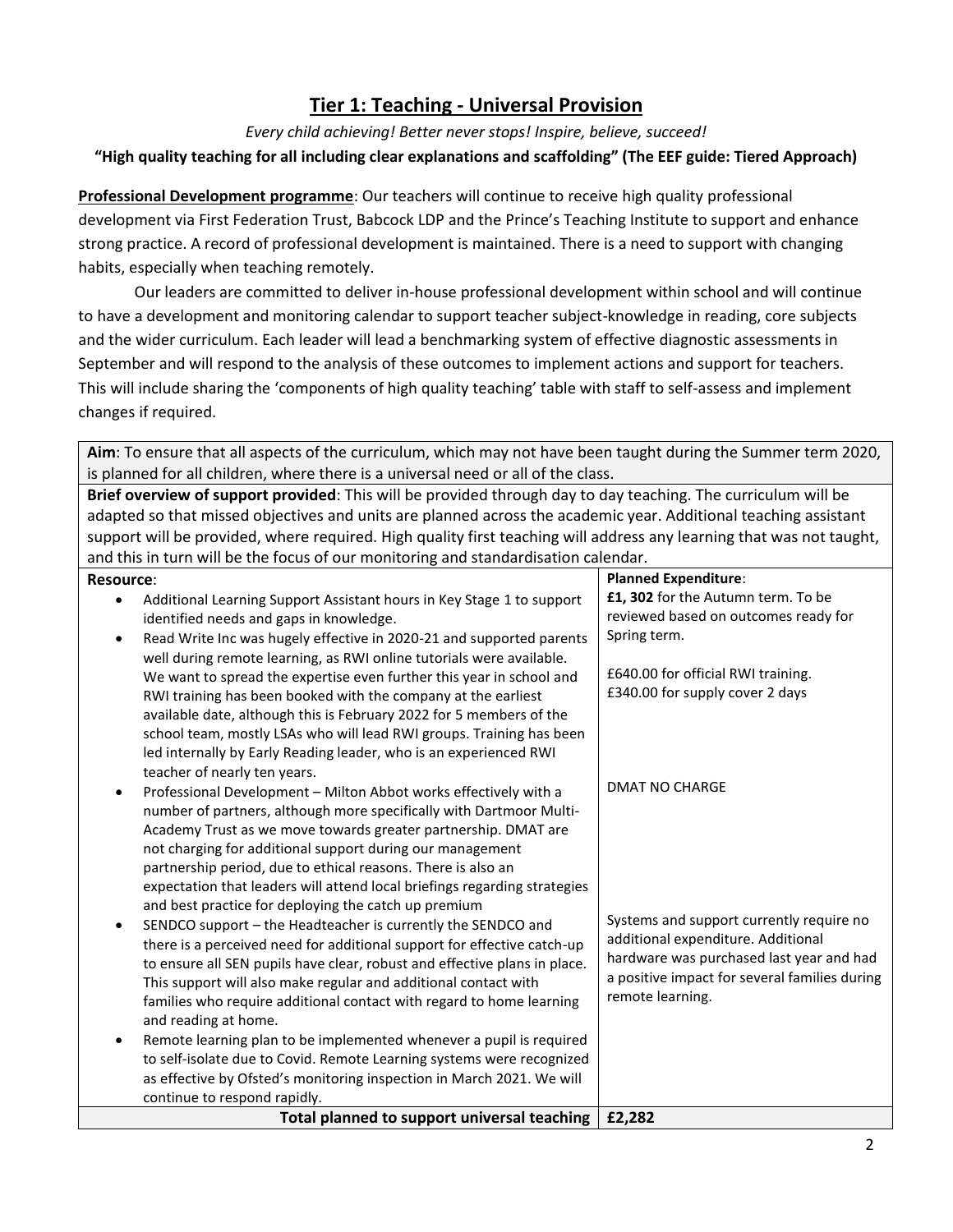## **Tier 1: Teaching - Universal Provision**

*Every child achieving! Better never stops! Inspire, believe, succeed!*

### **"High quality teaching for all including clear explanations and scaffolding" (The EEF guide: Tiered Approach)**

**Professional Development programme**: Our teachers will continue to receive high quality professional development via First Federation Trust, Babcock LDP and the Prince's Teaching Institute to support and enhance strong practice. A record of professional development is maintained. There is a need to support with changing habits, especially when teaching remotely.

Our leaders are committed to deliver in-house professional development within school and will continue to have a development and monitoring calendar to support teacher subject-knowledge in reading, core subjects and the wider curriculum. Each leader will lead a benchmarking system of effective diagnostic assessments in September and will respond to the analysis of these outcomes to implement actions and support for teachers. This will include sharing the 'components of high quality teaching' table with staff to self-assess and implement changes if required.

**Aim**: To ensure that all aspects of the curriculum, which may not have been taught during the Summer term 2020, is planned for all children, where there is a universal need or all of the class.

**Brief overview of support provided**: This will be provided through day to day teaching. The curriculum will be adapted so that missed objectives and units are planned across the academic year. Additional teaching assistant support will be provided, where required. High quality first teaching will address any learning that was not taught, and this in turn will be the focus of our monitoring and standardisation calendar.

| <b>Resource:</b>                                                                                                                                                                                                                                                                                                                                                                                                                                                                                                                                                                                                                                                                                                                                                                                                                                                                                                                                                                                                                                                                                                                                                             | <b>Planned Expenditure:</b>                                                                                                                                                                                              |
|------------------------------------------------------------------------------------------------------------------------------------------------------------------------------------------------------------------------------------------------------------------------------------------------------------------------------------------------------------------------------------------------------------------------------------------------------------------------------------------------------------------------------------------------------------------------------------------------------------------------------------------------------------------------------------------------------------------------------------------------------------------------------------------------------------------------------------------------------------------------------------------------------------------------------------------------------------------------------------------------------------------------------------------------------------------------------------------------------------------------------------------------------------------------------|--------------------------------------------------------------------------------------------------------------------------------------------------------------------------------------------------------------------------|
| Additional Learning Support Assistant hours in Key Stage 1 to support<br>identified needs and gaps in knowledge.<br>Read Write Inc was hugely effective in 2020-21 and supported parents<br>$\bullet$<br>well during remote learning, as RWI online tutorials were available.<br>We want to spread the expertise even further this year in school and<br>RWI training has been booked with the company at the earliest<br>available date, although this is February 2022 for 5 members of the<br>school team, mostly LSAs who will lead RWI groups. Training has been<br>led internally by Early Reading leader, who is an experienced RWI                                                                                                                                                                                                                                                                                                                                                                                                                                                                                                                                   | £1, 302 for the Autumn term. To be<br>reviewed based on outcomes ready for<br>Spring term.<br>£640.00 for official RWI training.<br>£340.00 for supply cover 2 days                                                      |
| teacher of nearly ten years.<br>Professional Development - Milton Abbot works effectively with a<br>number of partners, although more specifically with Dartmoor Multi-<br>Academy Trust as we move towards greater partnership. DMAT are<br>not charging for additional support during our management<br>partnership period, due to ethical reasons. There is also an<br>expectation that leaders will attend local briefings regarding strategies<br>and best practice for deploying the catch up premium<br>SENDCO support - the Headteacher is currently the SENDCO and<br>$\bullet$<br>there is a perceived need for additional support for effective catch-up<br>to ensure all SEN pupils have clear, robust and effective plans in place.<br>This support will also make regular and additional contact with<br>families who require additional contact with regard to home learning<br>and reading at home.<br>Remote learning plan to be implemented whenever a pupil is required<br>to self-isolate due to Covid. Remote Learning systems were recognized<br>as effective by Ofsted's monitoring inspection in March 2021. We will<br>continue to respond rapidly. | <b>DMAT NO CHARGE</b><br>Systems and support currently require no<br>additional expenditure. Additional<br>hardware was purchased last year and had<br>a positive impact for several families during<br>remote learning. |
| Total planned to support universal teaching                                                                                                                                                                                                                                                                                                                                                                                                                                                                                                                                                                                                                                                                                                                                                                                                                                                                                                                                                                                                                                                                                                                                  | £2,282                                                                                                                                                                                                                   |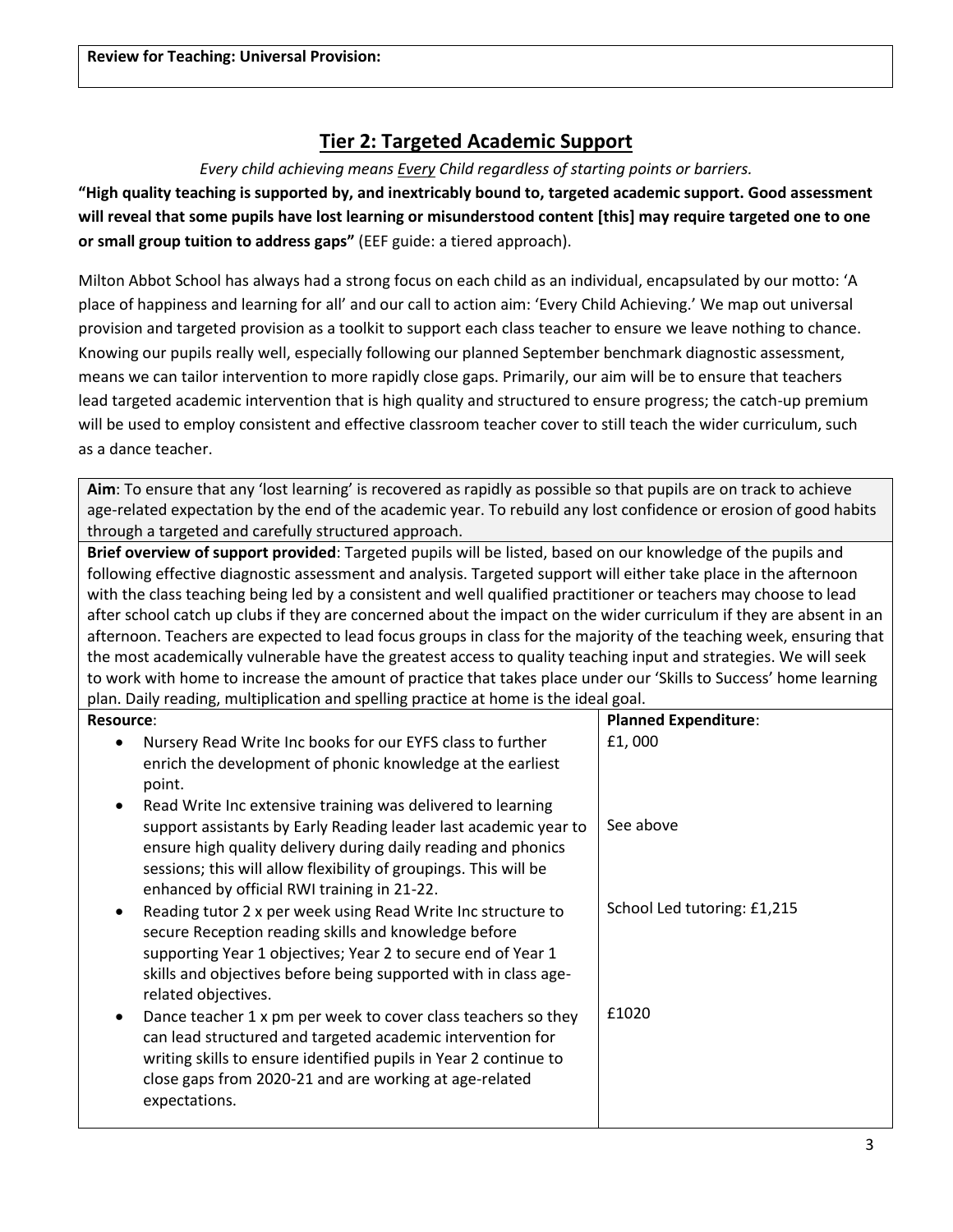## **Tier 2: Targeted Academic Support**

*Every child achieving means Every Child regardless of starting points or barriers.*

**"High quality teaching is supported by, and inextricably bound to, targeted academic support. Good assessment will reveal that some pupils have lost learning or misunderstood content [this] may require targeted one to one or small group tuition to address gaps"** (EEF guide: a tiered approach).

Milton Abbot School has always had a strong focus on each child as an individual, encapsulated by our motto: 'A place of happiness and learning for all' and our call to action aim: 'Every Child Achieving.' We map out universal provision and targeted provision as a toolkit to support each class teacher to ensure we leave nothing to chance. Knowing our pupils really well, especially following our planned September benchmark diagnostic assessment, means we can tailor intervention to more rapidly close gaps. Primarily, our aim will be to ensure that teachers lead targeted academic intervention that is high quality and structured to ensure progress; the catch-up premium will be used to employ consistent and effective classroom teacher cover to still teach the wider curriculum, such as a dance teacher.

**Aim**: To ensure that any 'lost learning' is recovered as rapidly as possible so that pupils are on track to achieve age-related expectation by the end of the academic year. To rebuild any lost confidence or erosion of good habits through a targeted and carefully structured approach.

**Brief overview of support provided**: Targeted pupils will be listed, based on our knowledge of the pupils and following effective diagnostic assessment and analysis. Targeted support will either take place in the afternoon with the class teaching being led by a consistent and well qualified practitioner or teachers may choose to lead after school catch up clubs if they are concerned about the impact on the wider curriculum if they are absent in an afternoon. Teachers are expected to lead focus groups in class for the majority of the teaching week, ensuring that the most academically vulnerable have the greatest access to quality teaching input and strategies. We will seek to work with home to increase the amount of practice that takes place under our 'Skills to Success' home learning plan. Daily reading, multiplication and spelling practice at home is the ideal goal.

| <b>Resource:</b>                                                                                                                                                                                                                                                                                                    | <b>Planned Expenditure:</b> |
|---------------------------------------------------------------------------------------------------------------------------------------------------------------------------------------------------------------------------------------------------------------------------------------------------------------------|-----------------------------|
| Nursery Read Write Inc books for our EYFS class to further<br>enrich the development of phonic knowledge at the earliest<br>point.                                                                                                                                                                                  | £1,000                      |
| Read Write Inc extensive training was delivered to learning<br>support assistants by Early Reading leader last academic year to<br>ensure high quality delivery during daily reading and phonics<br>sessions; this will allow flexibility of groupings. This will be<br>enhanced by official RWI training in 21-22. | See above                   |
| Reading tutor 2 x per week using Read Write Inc structure to<br>secure Reception reading skills and knowledge before<br>supporting Year 1 objectives; Year 2 to secure end of Year 1<br>skills and objectives before being supported with in class age-<br>related objectives.                                      | School Led tutoring: £1,215 |
| Dance teacher 1 x pm per week to cover class teachers so they<br>can lead structured and targeted academic intervention for<br>writing skills to ensure identified pupils in Year 2 continue to<br>close gaps from 2020-21 and are working at age-related<br>expectations.                                          | £1020                       |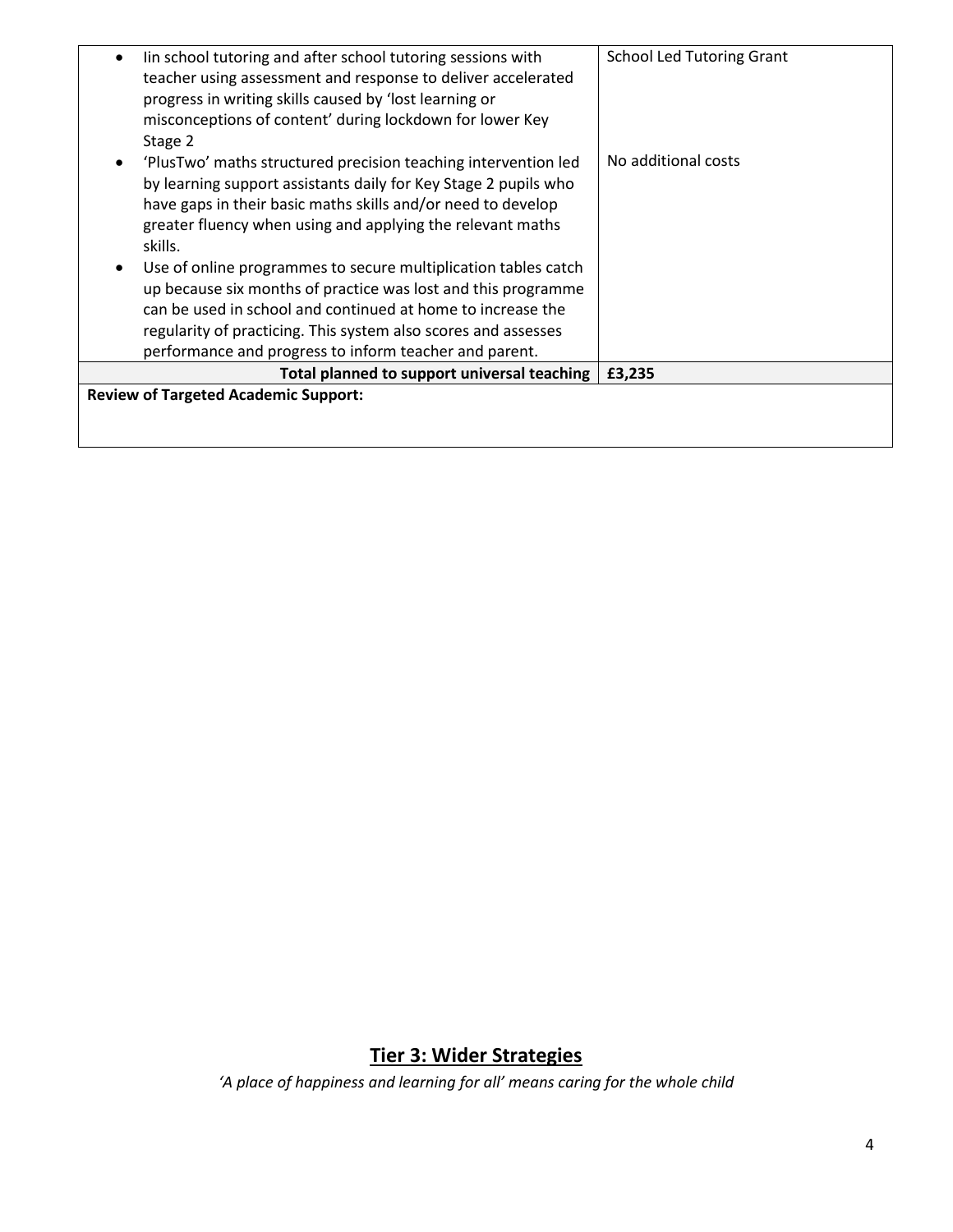| lin school tutoring and after school tutoring sessions with     | <b>School Led Tutoring Grant</b> |
|-----------------------------------------------------------------|----------------------------------|
| teacher using assessment and response to deliver accelerated    |                                  |
|                                                                 |                                  |
| progress in writing skills caused by 'lost learning or          |                                  |
| misconceptions of content' during lockdown for lower Key        |                                  |
| Stage 2                                                         |                                  |
| 'PlusTwo' maths structured precision teaching intervention led  | No additional costs              |
| by learning support assistants daily for Key Stage 2 pupils who |                                  |
| have gaps in their basic maths skills and/or need to develop    |                                  |
| greater fluency when using and applying the relevant maths      |                                  |
|                                                                 |                                  |
| skills.                                                         |                                  |
| Use of online programmes to secure multiplication tables catch  |                                  |
| up because six months of practice was lost and this programme   |                                  |
| can be used in school and continued at home to increase the     |                                  |
| regularity of practicing. This system also scores and assesses  |                                  |
| performance and progress to inform teacher and parent.          |                                  |
| Total planned to support universal teaching                     | £3,235                           |
| <b>Review of Targeted Academic Support:</b>                     |                                  |
|                                                                 |                                  |
|                                                                 |                                  |
|                                                                 |                                  |

# **Tier 3: Wider Strategies**

*'A place of happiness and learning for all' means caring for the whole child*